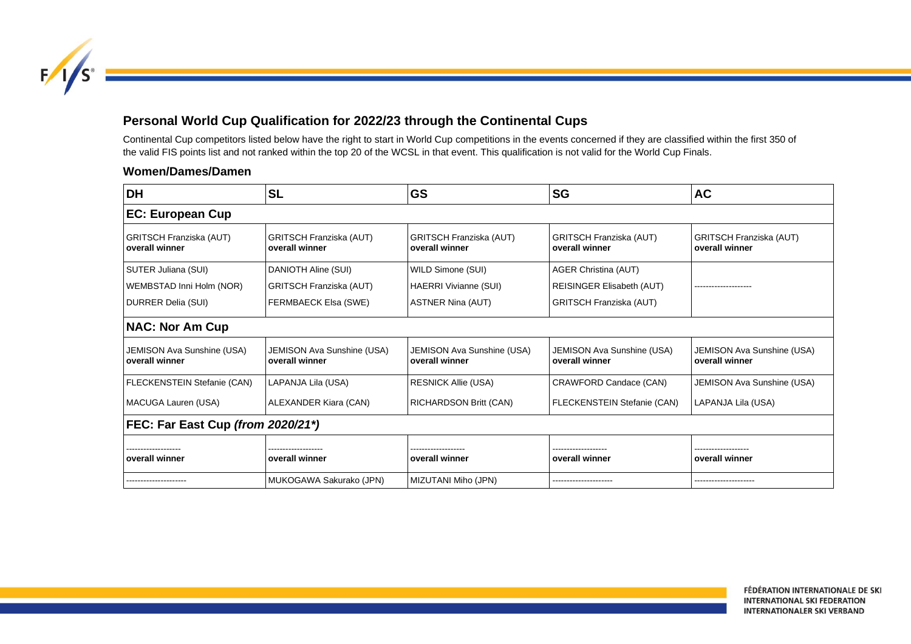

## **Personal World Cup Qualification for 2022/23 through the Continental Cups**

Continental Cup competitors listed below have the right to start in World Cup competitions in the events concerned if they are classified within the first 350 of the valid FIS points list and not ranked within the top 20 of the WCSL in that event. This qualification is not valid for the World Cup Finals.

## **Women/Dames/Damen**

| DH                                               | <b>SL</b>                                        | <b>GS</b>                                           | <b>SG</b>                                        | <b>AC</b>                                        |  |
|--------------------------------------------------|--------------------------------------------------|-----------------------------------------------------|--------------------------------------------------|--------------------------------------------------|--|
| <b>EC: European Cup</b>                          |                                                  |                                                     |                                                  |                                                  |  |
| <b>GRITSCH Franziska (AUT)</b><br>overall winner | <b>GRITSCH Franziska (AUT)</b><br>overall winner | <b>GRITSCH Franziska (AUT)</b><br>overall winner    | <b>GRITSCH Franziska (AUT)</b><br>overall winner | <b>GRITSCH Franziska (AUT)</b><br>overall winner |  |
| SUTER Juliana (SUI)                              | DANIOTH Aline (SUI)                              | WILD Simone (SUI)                                   | <b>AGER Christina (AUT)</b>                      |                                                  |  |
| WEMBSTAD Inni Holm (NOR)                         | <b>GRITSCH Franziska (AUT)</b>                   | <b>HAERRI Vivianne (SUI)</b>                        | REISINGER Elisabeth (AUT)                        |                                                  |  |
| DURRER Delia (SUI)                               | <b>FERMBAECK Elsa (SWE)</b>                      | <b>ASTNER Nina (AUT)</b>                            | GRITSCH Franziska (AUT)                          |                                                  |  |
| <b>NAC: Nor Am Cup</b>                           |                                                  |                                                     |                                                  |                                                  |  |
| JEMISON Ava Sunshine (USA)<br>overall winner     | JEMISON Ava Sunshine (USA)<br>overall winner     | <b>JEMISON Ava Sunshine (USA)</b><br>overall winner | JEMISON Ava Sunshine (USA)<br>overall winner     | JEMISON Ava Sunshine (USA)<br>overall winner     |  |
| FLECKENSTEIN Stefanie (CAN)                      | LAPANJA Lila (USA)                               | <b>RESNICK Allie (USA)</b>                          | CRAWFORD Candace (CAN)                           | JEMISON Ava Sunshine (USA)                       |  |
| MACUGA Lauren (USA)                              | ALEXANDER Kiara (CAN)                            | <b>RICHARDSON Britt (CAN)</b>                       | FLECKENSTEIN Stefanie (CAN)                      | LAPANJA Lila (USA)                               |  |
| FEC: Far East Cup (from 2020/21*)                |                                                  |                                                     |                                                  |                                                  |  |
|                                                  |                                                  |                                                     |                                                  |                                                  |  |
| overall winner                                   | overall winner                                   | overall winner                                      | overall winner                                   | overall winner                                   |  |
|                                                  | MUKOGAWA Sakurako (JPN)                          | MIZUTANI Miho (JPN)                                 |                                                  |                                                  |  |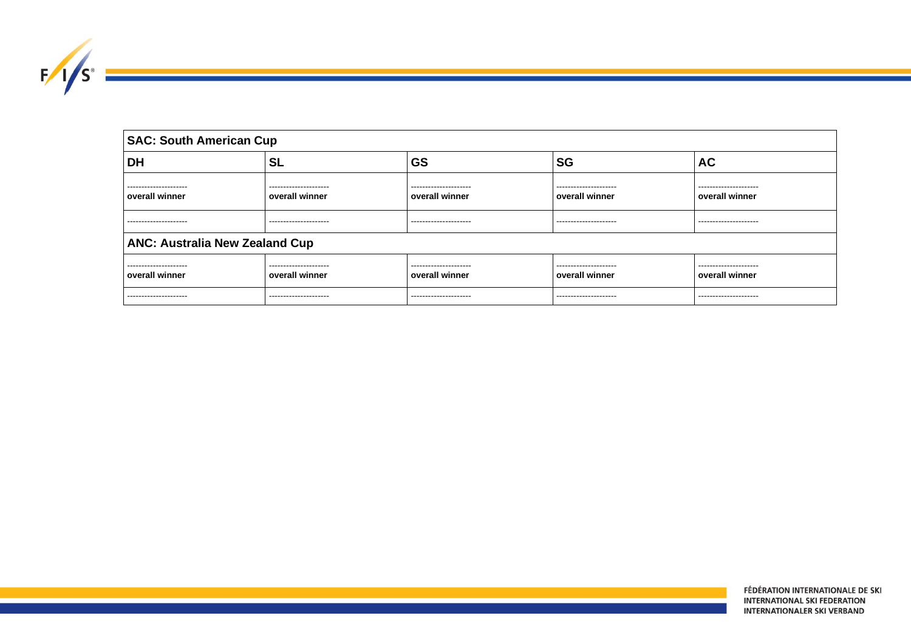| ═<br>£. |  |
|---------|--|
|         |  |

| <b>SAC: South American Cup</b>          |                                         |                                         |                                         |                                         |  |
|-----------------------------------------|-----------------------------------------|-----------------------------------------|-----------------------------------------|-----------------------------------------|--|
| <b>DH</b>                               | <b>SL</b>                               | <b>GS</b>                               | <b>SG</b>                               | <b>AC</b>                               |  |
| ---------------------<br>overall winner | ---------------------<br>overall winner | ---------------------<br>overall winner | ---------------------<br>overall winner | ---------------------<br>overall winner |  |
| ---------------------                   | ---------------------                   | ---------------------                   | ---------------------                   | ---------------------                   |  |
| <b>ANC: Australia New Zealand Cup</b>   |                                         |                                         |                                         |                                         |  |
| ---------------------                   | ---------------------                   | ---------------------                   | ---------------------                   | ---------------------                   |  |
| overall winner                          | overall winner                          | overall winner                          | overall winner                          | overall winner                          |  |
| ---------------------                   | ---------------------                   | ---------------------                   | ---------------------                   | ---------------------                   |  |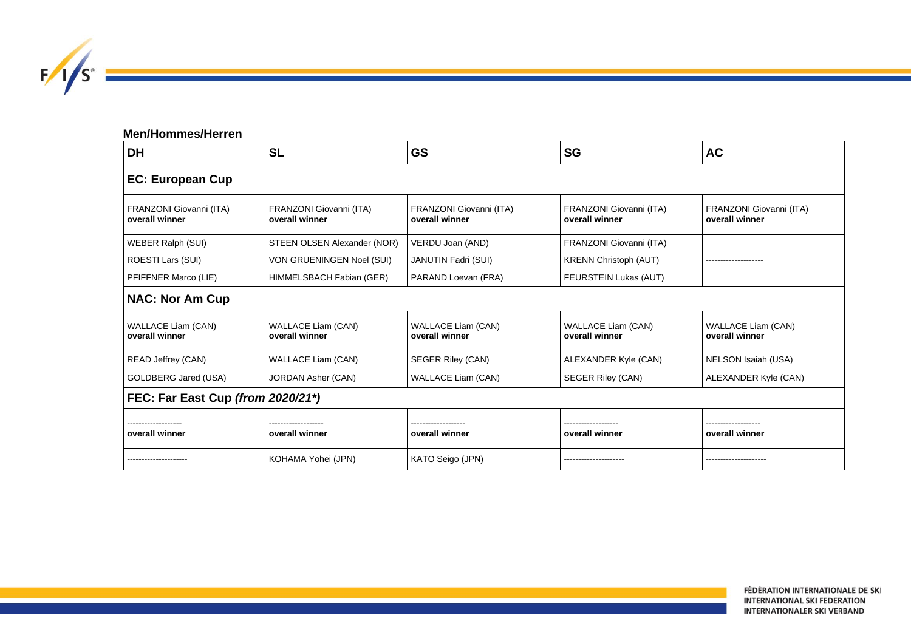

| <b>Men/Hommes/Herren</b>                    |                                             |                                             |                                             |                                             |  |
|---------------------------------------------|---------------------------------------------|---------------------------------------------|---------------------------------------------|---------------------------------------------|--|
| <b>DH</b>                                   | <b>SL</b>                                   | <b>GS</b>                                   | <b>SG</b>                                   | <b>AC</b>                                   |  |
| <b>EC: European Cup</b>                     |                                             |                                             |                                             |                                             |  |
| FRANZONI Giovanni (ITA)<br>overall winner   | FRANZONI Giovanni (ITA)<br>overall winner   | FRANZONI Giovanni (ITA)<br>overall winner   | FRANZONI Giovanni (ITA)<br>overall winner   | FRANZONI Giovanni (ITA)<br>overall winner   |  |
| <b>WEBER Ralph (SUI)</b>                    | STEEN OLSEN Alexander (NOR)                 | VERDU Joan (AND)                            | FRANZONI Giovanni (ITA)                     |                                             |  |
| ROESTI Lars (SUI)                           | VON GRUENINGEN Noel (SUI)                   | <b>JANUTIN Fadri (SUI)</b>                  | <b>KRENN Christoph (AUT)</b>                |                                             |  |
| PFIFFNER Marco (LIE)                        | HIMMELSBACH Fabian (GER)                    | PARAND Loevan (FRA)                         | FEURSTEIN Lukas (AUT)                       |                                             |  |
| <b>NAC: Nor Am Cup</b>                      |                                             |                                             |                                             |                                             |  |
| <b>WALLACE Liam (CAN)</b><br>overall winner | <b>WALLACE Liam (CAN)</b><br>overall winner | <b>WALLACE Liam (CAN)</b><br>overall winner | <b>WALLACE Liam (CAN)</b><br>overall winner | <b>WALLACE Liam (CAN)</b><br>overall winner |  |
| <b>READ Jeffrey (CAN)</b>                   | <b>WALLACE Liam (CAN)</b>                   | <b>SEGER Riley (CAN)</b>                    | ALEXANDER Kyle (CAN)                        | NELSON Isaiah (USA)                         |  |
| GOLDBERG Jared (USA)                        | <b>JORDAN Asher (CAN)</b>                   | <b>WALLACE Liam (CAN)</b>                   | <b>SEGER Riley (CAN)</b>                    | ALEXANDER Kyle (CAN)                        |  |
| FEC: Far East Cup (from 2020/21*)           |                                             |                                             |                                             |                                             |  |
|                                             |                                             |                                             |                                             |                                             |  |
| overall winner                              | overall winner                              | overall winner                              | overall winner                              | overall winner                              |  |
| --------------------                        | KOHAMA Yohei (JPN)                          | KATO Seigo (JPN)                            | --------------------                        | --------------------                        |  |